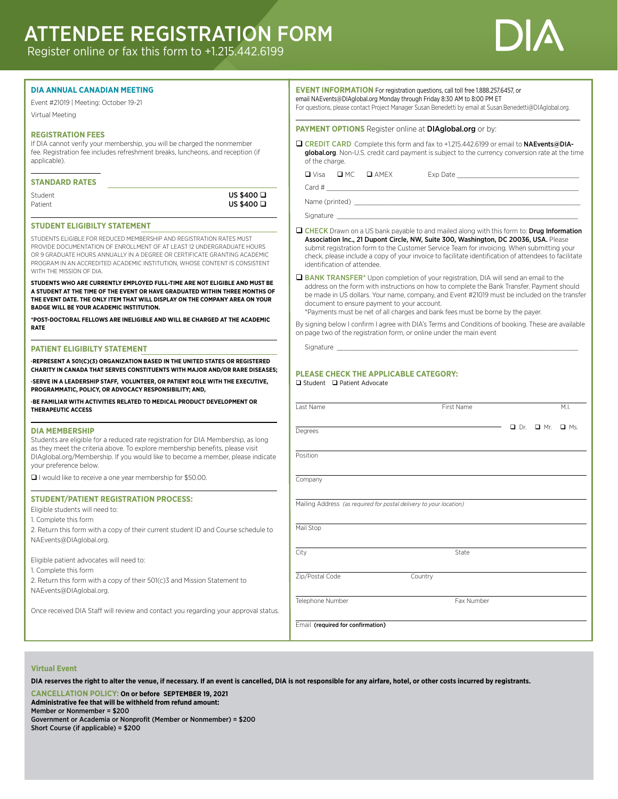# ATTENDEE REGISTRATION FORM

Register online or fax this form to +1.215.442.6199



| <b>DIA ANNUAL CANADIAN MEETING</b><br>Event #21019   Meeting: October 19-21                                                                                                                                                                                                                                                                                                                                  | <b>EVENT INFORMATION</b> For registration questions, call toll free 1.888.257.6457, or<br>email NAEvents@DIAglobal.org Monday through Friday 8:30 AM to 8:00 PM ET<br>For questions, please contact Project Manager Susan Benedetti by email at Susan.Benedetti@DIAglobal.org.                                                                                                                                                       |  |
|--------------------------------------------------------------------------------------------------------------------------------------------------------------------------------------------------------------------------------------------------------------------------------------------------------------------------------------------------------------------------------------------------------------|--------------------------------------------------------------------------------------------------------------------------------------------------------------------------------------------------------------------------------------------------------------------------------------------------------------------------------------------------------------------------------------------------------------------------------------|--|
| Virtual Meeting                                                                                                                                                                                                                                                                                                                                                                                              |                                                                                                                                                                                                                                                                                                                                                                                                                                      |  |
| <b>REGISTRATION FEES</b>                                                                                                                                                                                                                                                                                                                                                                                     | PAYMENT OPTIONS Register online at DIAglobal.org or by:                                                                                                                                                                                                                                                                                                                                                                              |  |
| If DIA cannot verify your membership, you will be charged the nonmember<br>fee. Registration fee includes refreshment breaks, luncheons, and reception (if<br>applicable).                                                                                                                                                                                                                                   | CREDIT CARD Complete this form and fax to +1.215.442.6199 or email to NAEvents@DIA-<br>global.org. Non-U.S. credit card payment is subject to the currency conversion rate at the time<br>of the charge.                                                                                                                                                                                                                             |  |
| <b>STANDARD RATES</b>                                                                                                                                                                                                                                                                                                                                                                                        |                                                                                                                                                                                                                                                                                                                                                                                                                                      |  |
| Student<br>Patient                                                                                                                                                                                                                                                                                                                                                                                           | US \$400 □<br>US \$400 □                                                                                                                                                                                                                                                                                                                                                                                                             |  |
| <b>STUDENT ELIGIBILTY STATEMENT</b>                                                                                                                                                                                                                                                                                                                                                                          |                                                                                                                                                                                                                                                                                                                                                                                                                                      |  |
| STUDENTS ELIGIBLE FOR REDUCED MEMBERSHIP AND REGISTRATION RATES MUST<br>PROVIDE DOCUMENTATION OF ENROLLMENT OF AT LEAST 12 UNDERGRADUATE HOURS<br>OR 9 GRADUATE HOURS ANNUALLY IN A DEGREE OR CERTIFICATE GRANTING ACADEMIC<br>PROGRAM IN AN ACCREDITED ACADEMIC INSTITUTION, WHOSE CONTENT IS CONSISTENT<br>WITH THE MISSION OF DIA.                                                                        | <b>Q CHECK</b> Drawn on a US bank payable to and mailed along with this form to: <b>Drug Information</b><br>Association Inc., 21 Dupont Circle, NW, Suite 300, Washington, DC 20036, USA. Please<br>submit registration form to the Customer Service Team for invoicing. When submitting your<br>check, please include a copy of your invoice to facilitate identification of attendees to facilitate<br>identification of attendee. |  |
| STUDENTS WHO ARE CURRENTLY EMPLOYED FULL-TIME ARE NOT ELIGIBLE AND MUST BE<br>A STUDENT AT THE TIME OF THE EVENT OR HAVE GRADUATED WITHIN THREE MONTHS OF<br>THE EVENT DATE. THE ONLY ITEM THAT WILL DISPLAY ON THE COMPANY AREA ON YOUR<br>BADGE WILL BE YOUR ACADEMIC INSTITUTION.                                                                                                                         | BANK TRANSFER* Upon completion of your registration, DIA will send an email to the<br>address on the form with instructions on how to complete the Bank Transfer. Payment should<br>be made in US dollars. Your name, company, and Event #21019 must be included on the transfer<br>document to ensure payment to your account.<br>*Payments must be net of all charges and bank fees must be borne by the payer.                    |  |
| *POST-DOCTORAL FELLOWS ARE INELIGIBLE AND WILL BE CHARGED AT THE ACADEMIC<br><b>RATE</b>                                                                                                                                                                                                                                                                                                                     | By signing below I confirm I agree with DIA's Terms and Conditions of booking. These are available<br>on page two of the registration form, or online under the main event                                                                                                                                                                                                                                                           |  |
| <b>PATIENT ELIGIBILTY STATEMENT</b>                                                                                                                                                                                                                                                                                                                                                                          |                                                                                                                                                                                                                                                                                                                                                                                                                                      |  |
| -REPRESENT A 501(C)(3) ORGANIZATION BASED IN THE UNITED STATES OR REGISTERED<br>CHARITY IN CANADA THAT SERVES CONSTITUENTS WITH MAJOR AND/OR RARE DISEASES;<br>-SERVE IN A LEADERSHIP STAFF, VOLUNTEER, OR PATIENT ROLE WITH THE EXECUTIVE,<br>PROGRAMMATIC, POLICY, OR ADVOCACY RESPONSIBILITY; AND,<br>-BE FAMILIAR WITH ACTIVITIES RELATED TO MEDICAL PRODUCT DEVELOPMENT OR<br><b>THERAPEUTIC ACCESS</b> | PLEASE CHECK THE APPLICABLE CATEGORY:<br>□ Student □ Patient Advocate<br>Last Name<br>First Name<br>M.I.                                                                                                                                                                                                                                                                                                                             |  |
|                                                                                                                                                                                                                                                                                                                                                                                                              | $\longrightarrow$ Di Dr. Di Mr. Di Ms.                                                                                                                                                                                                                                                                                                                                                                                               |  |
| <b>DIA MEMBERSHIP</b><br>Students are eligible for a reduced rate registration for DIA Membership, as long<br>as they meet the criteria above. To explore membership benefits, please visit<br>DIAglobal.org/Membership. If you would like to become a member, please indicate<br>your preference below.                                                                                                     | Degrees<br>Position                                                                                                                                                                                                                                                                                                                                                                                                                  |  |
| $\Box$ I would like to receive a one year membership for \$50.00.                                                                                                                                                                                                                                                                                                                                            | Company                                                                                                                                                                                                                                                                                                                                                                                                                              |  |
| <b>STUDENT/PATIENT REGISTRATION PROCESS:</b><br>Eligible students will need to:<br>1. Complete this form                                                                                                                                                                                                                                                                                                     | Mailing Address (as required for postal delivery to your location)                                                                                                                                                                                                                                                                                                                                                                   |  |
| 2. Return this form with a copy of their current student ID and Course schedule to<br>NAEvents@DIAglobal.org.                                                                                                                                                                                                                                                                                                | Mail Stop                                                                                                                                                                                                                                                                                                                                                                                                                            |  |
| Eligible patient advocates will need to:                                                                                                                                                                                                                                                                                                                                                                     | City<br>State                                                                                                                                                                                                                                                                                                                                                                                                                        |  |
| 1. Complete this form<br>2. Return this form with a copy of their 501(c)3 and Mission Statement to<br>NAEvents@DIAglobal.org.                                                                                                                                                                                                                                                                                | Zip/Postal Code<br>Country                                                                                                                                                                                                                                                                                                                                                                                                           |  |
| Once received DIA Staff will review and contact you regarding your approval status.                                                                                                                                                                                                                                                                                                                          | Telephone Number<br>Fax Number                                                                                                                                                                                                                                                                                                                                                                                                       |  |
|                                                                                                                                                                                                                                                                                                                                                                                                              | Email (required for confirmation)                                                                                                                                                                                                                                                                                                                                                                                                    |  |
|                                                                                                                                                                                                                                                                                                                                                                                                              |                                                                                                                                                                                                                                                                                                                                                                                                                                      |  |

#### **Virtual Event**

**DIA reserves the right to alter the venue, if necessary. If an event is cancelled, DIA is not responsible for any airfare, hotel, or other costs incurred by registrants.**

**CANCELLATION POLICY: On or before SEPTEMBER 19, 2021 Administrative fee that will be withheld from refund amount:** Member or Nonmember = \$200 Government or Academia or Nonprofit (Member or Nonmember) = \$200

Short Course (if applicable) = \$200